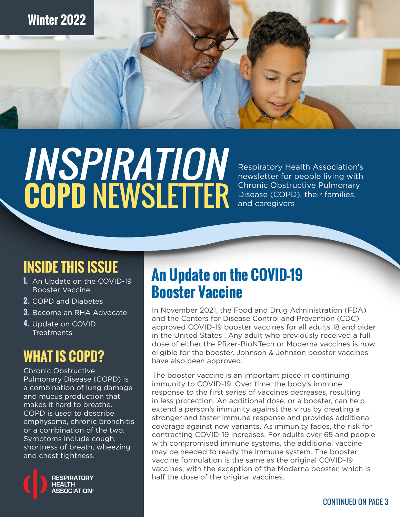# **INSPIRATION<br>COPD NEWSLETTER**

Respiratory Health Association's newsletter for people living with Chronic Obstructive Pulmonary Disease (COPD), their families, and caregivers

# **INSIDE THIS ISSUE**

- **1.** An Update on the COVID-19 Booster Vaccine
- **2.** [COPD and Diabete](#page-1-0)s
- **3.** Become an RHA Advocate
- **4.** Update on COVID Treatments

## **WHAT IS COPD?**

Chronic Obstructive Pulmonary Disease (COPD) is a combination of lung damage and mucus production that makes it hard to breathe. COPD is used to describe emphysema, chronic bronchitis or a combination of the two. Symptoms include cough, shortness of breath, wheezing and chest tightness.



# **An Update on the COVID-19 Booster Vaccine**

In November 2021, the Food and Drug Administration (FDA) and the Centers for Disease Control and Prevention (CDC) approved COVID-19 booster vaccines for all adults 18 and older in the United States . Any adult who previously received a full dose of either the Pfizer-BioNTech or Moderna vaccines is now eligible for the booster. Johnson & Johnson booster vaccines have also been approved.

The booster vaccine is an important piece in continuing immunity to COVID-19. Over time, the body's immune response to the first series of vaccines decreases, resulting in less protection. An additional dose, or a booster, can help extend a person's immunity against the virus by creating a stronger and faster immune response and provides additional coverage against new variants. As immunity fades, the risk for contracting COVID-19 increases. For adults over 65 and people with compromised immune systems, the additional vaccine may be needed to ready the immune system. The booster vaccine formulation is the same as the original COVID-19 vaccines, with the exception of the Moderna booster, which is half the dose of the original vaccines.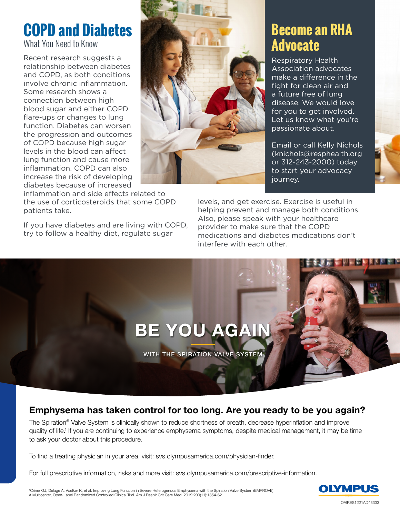# <span id="page-1-0"></span>**COPD and Diabetes**

What You Need to Know

Recent research suggests a relationship between diabetes and COPD, as both conditions involve chronic inflammation. Some research shows a connection between high blood sugar and either COPD flare-ups or changes to lung function. Diabetes can worsen the progression and outcomes of COPD because high sugar levels in the blood can affect lung function and cause more inflammation. COPD can also increase the risk of developing diabetes because of increased

inflammation and side effects related to the use of corticosteroids that some COPD patients take.

If you have diabetes and are living with COPD, try to follow a healthy diet, regulate sugar



## **Become an RHA Advocate**

Respiratory Health Association advocates make a difference in the fight for clean air and a future free of lung disease. We would love for you to get involved. Let us know what you're passionate about.

Email or call Kelly Nichols (knichols@resphealth.org or 312-243-2000) today to start your advocacy journey.

levels, and get exercise. Exercise is useful in helping prevent and manage both conditions. Also, please speak with your healthcare provider to make sure that the COPD medications and diabetes medications don't interfere with each other.



#### Emphysema has taken control for too long. Are you ready to be you again?

The Spiration® Valve System is clinically shown to reduce shortness of breath, decrease hyperinflation and improve quality of life.1 If you are continuing to experience emphysema symptoms, despite medical management, it may be time to ask your doctor about this procedure.

To find a treating physician in your area, visit: svs.olympusamerica.com/physician-finder.

For full prescriptive information, risks and more visit: svs.olympusamerica.com/prescriptive-information.

<sup>1</sup>Criner GJ, Delage A, Voelker K, et al. Improving Lung Function in Severe Heterogenous Emphysema with the Spiration Valve System (EMPROVE).<br>A Multicenter, Open-Label Randomized Controlled Clinical Trial. Am J Respir Crit 'Criner GJ, Delage A, Voelker K, et al. Improving Lung Function in Severe Heterogenous Emphysema with the Spiration Valve System (EMPROVE).<br>A Multicenter, Open-Label Randomized Controlled Clinical Trial. Am J Respir Crit C

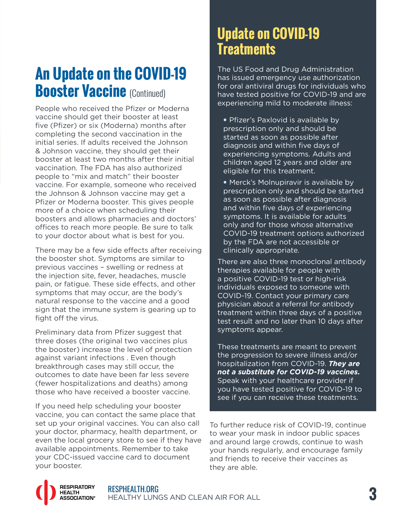# **An Update on the COVID-19 Booster Vaccine (Continued)**

People who received the Pfizer or Moderna vaccine should get their booster at least five (Pfizer) or six (Moderna) months after completing the second vaccination in the initial series. If adults received the Johnson & Johnson vaccine, they should get their booster at least two months after their initial vaccination. The FDA has also authorized people to "mix and match" their booster vaccine. For example, someone who received the Johnson & Johnson vaccine may get a Pfizer or Moderna booster. This gives people more of a choice when scheduling their boosters and allows pharmacies and doctors' offices to reach more people. Be sure to talk to your doctor about what is best for you.

There may be a few side effects after receiving the booster shot. Symptoms are similar to previous vaccines – swelling or redness at the injection site, fever, headaches, muscle pain, or fatigue. These side effects, and other symptoms that may occur, are the body's natural response to the vaccine and a good sign that the immune system is gearing up to fight off the virus.

Preliminary data from Pfizer suggest that three doses (the original two vaccines plus the booster) increase the level of protection against variant infections . Even though breakthrough cases may still occur, the outcomes to date have been far less severe (fewer hospitalizations and deaths) among those who have received a booster vaccine.

If you need help scheduling your booster vaccine, you can contact the same place that set up your original vaccines. You can also call your doctor, pharmacy, health department, or even the local grocery store to see if they have available appointments. Remember to take your CDC-issued vaccine card to document your booster.

## **Update on COVID-19 Treatments**

The US Food and Drug Administration has issued emergency use authorization for oral antiviral drugs for individuals who have tested positive for COVID-19 and are experiencing mild to moderate illness:

**•** Pfizer's Paxlovid is available by prescription only and should be started as soon as possible after diagnosis and within five days of experiencing symptoms. Adults and children aged 12 years and older are eligible for this treatment.

**•** Merck's Molnupiravir is available by prescription only and should be started as soon as possible after diagnosis and within five days of experiencing symptoms. It is available for adults only and for those whose alternative COVID-19 treatment options authorized by the FDA are not accessible or clinically appropriate.

There are also three monoclonal antibody therapies available for people with a positive COVID-19 test or high-risk individuals exposed to someone with COVID-19. Contact your primary care physician about a referral for antibody treatment within three days of a positive test result and no later than 10 days after symptoms appear.

These treatments are meant to prevent the progression to severe illness and/or hospitalization from COVID-19. *They are not a substitute for COVID-19 vaccines.*  Speak with your healthcare provider if you have tested positive for COVID-19 to see if you can receive these treatments.

To further reduce risk of COVID-19, continue to wear your mask in indoor public spaces and around large crowds, continue to wash your hands regularly, and encourage family and friends to receive their vaccines as they are able.